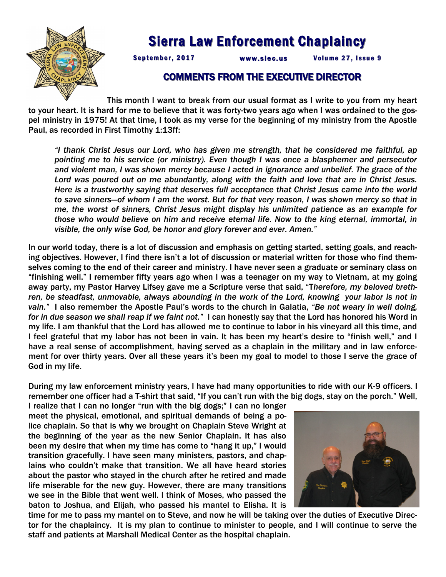

## Sierra Law Enforcement Chaplaincy

September, 2017 www.slec.us Volume 27, Issue 9

## COMMENTS FROM THE EXECUTIVE DIRECTOR

This month I want to break from our usual format as I write to you from my heart to your heart. It is hard for me to believe that it was forty-two years ago when I was ordained to the gospel ministry in 1975! At that time, I took as my verse for the beginning of my ministry from the Apostle Paul, as recorded in First Timothy 1:13ff:

*"I thank Christ Jesus our Lord, who has given me strength, that he considered me faithful, ap pointing me to his service (or ministry). Even though I was once a blasphemer and persecutor and violent man, I was shown mercy because I acted in ignorance and unbelief. The grace of the Lord was poured out on me abundantly, along with the faith and love that are in Christ Jesus. Here is a trustworthy saying that deserves full acceptance that Christ Jesus came into the world to save sinners—of whom I am the worst. But for that very reason, I was shown mercy so that in me, the worst of sinners, Christ Jesus might display his unlimited patience as an example for those who would believe on him and receive eternal life. Now to the king eternal, immortal, in visible, the only wise God, be honor and glory forever and ever. Amen."*

In our world today, there is a lot of discussion and emphasis on getting started, setting goals, and reaching objectives. However, I find there isn't a lot of discussion or material written for those who find themselves coming to the end of their career and ministry. I have never seen a graduate or seminary class on "finishing well." I remember fifty years ago when I was a teenager on my way to Vietnam, at my going away party, my Pastor Harvey Lifsey gave me a Scripture verse that said, "T*herefore, my beloved breth*ren, be steadfast, unmovable, always abounding in the work of the Lord, knowing your labor is not in *vain."* I also remember the Apostle Paul's words to the church in Galatia, *"Be not weary in well doing, for in due season we shall reap if we faint not."* I can honestly say that the Lord has honored his Word in my life. I am thankful that the Lord has allowed me to continue to labor in his vineyard all this time, and I feel grateful that my labor has not been in vain. It has been my heart's desire to "finish well," and I have a real sense of accomplishment, having served as a chaplain in the military and in law enforcement for over thirty years. Over all these years it's been my goal to model to those I serve the grace of God in my life.

During my law enforcement ministry years, I have had many opportunities to ride with our K-9 officers. I remember one officer had a T-shirt that said, "If you can't run with the big dogs, stay on the porch." Well,

I realize that I can no longer "run with the big dogs;" I can no longer meet the physical, emotional, and spiritual demands of being a police chaplain. So that is why we brought on Chaplain Steve Wright at the beginning of the year as the new Senior Chaplain. It has also been my desire that when my time has come to "hang it up," I would transition gracefully. I have seen many ministers, pastors, and chaplains who couldn't make that transition. We all have heard stories about the pastor who stayed in the church after he retired and made life miserable for the new guy. However, there are many transitions we see in the Bible that went well. I think of Moses, who passed the baton to Joshua, and Elijah, who passed his mantel to Elisha. It is



time for me to pass my mantel on to Steve, and now he will be taking over the duties of Executive Director for the chaplaincy. It is my plan to continue to minister to people, and I will continue to serve the staff and patients at Marshall Medical Center as the hospital chaplain.